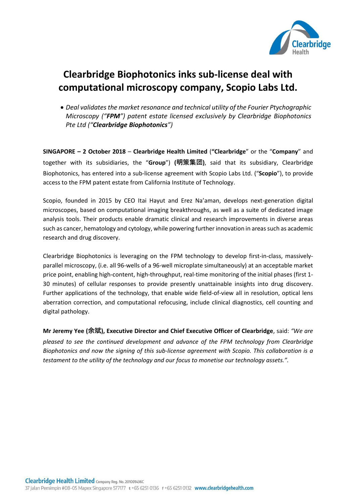

## **Clearbridge Biophotonics inks sub-license deal with computational microscopy company, Scopio Labs Ltd.**

• *Deal validates the market resonance and technical utility of the Fourier Ptychographic Microscopy ("FPM") patent estate licensed exclusively by Clearbridge Biophotonics Pte Ltd ("Clearbridge Biophotonics")*

**SINGAPORE – 2 October 2018** – **Clearbridge Health Limited** (**"Clearbridge**" or the "**Company**" and together with its subsidiaries, the "**Group**") **(明策集团)**, said that its subsidiary, Clearbridge Biophotonics, has entered into a sub-license agreement with Scopio Labs Ltd. ("**Scopio**"), to provide access to the FPM patent estate from California Institute of Technology.

Scopio, founded in 2015 by CEO Itai Hayut and Erez Na'aman, develops next-generation digital microscopes, based on computational imaging breakthroughs, as well as a suite of dedicated image analysis tools. Their products enable dramatic clinical and research improvements in diverse areas such as cancer, hematology and cytology, while powering further innovation in areas such as academic research and drug discovery.

Clearbridge Biophotonics is leveraging on the FPM technology to develop first-in-class, massivelyparallel microscopy, (i.e. all 96-wells of a 96-well microplate simultaneously) at an acceptable market price point, enabling high-content, high-throughput, real-time monitoring of the initial phases (first 1- 30 minutes) of cellular responses to provide presently unattainable insights into drug discovery. Further applications of the technology, that enable wide field-of-view all in resolution, optical lens aberration correction, and computational refocusing, include clinical diagnostics, cell counting and digital pathology.

**Mr Jeremy Yee (余斌), Executive Director and Chief Executive Officer of Clearbridge**, said: *"We are pleased to see the continued development and advance of the FPM technology from Clearbridge Biophotonics and now the signing of this sub-license agreement with Scopio. This collaboration is a testament to the utility of the technology and our focus to monetise our technology assets.".*